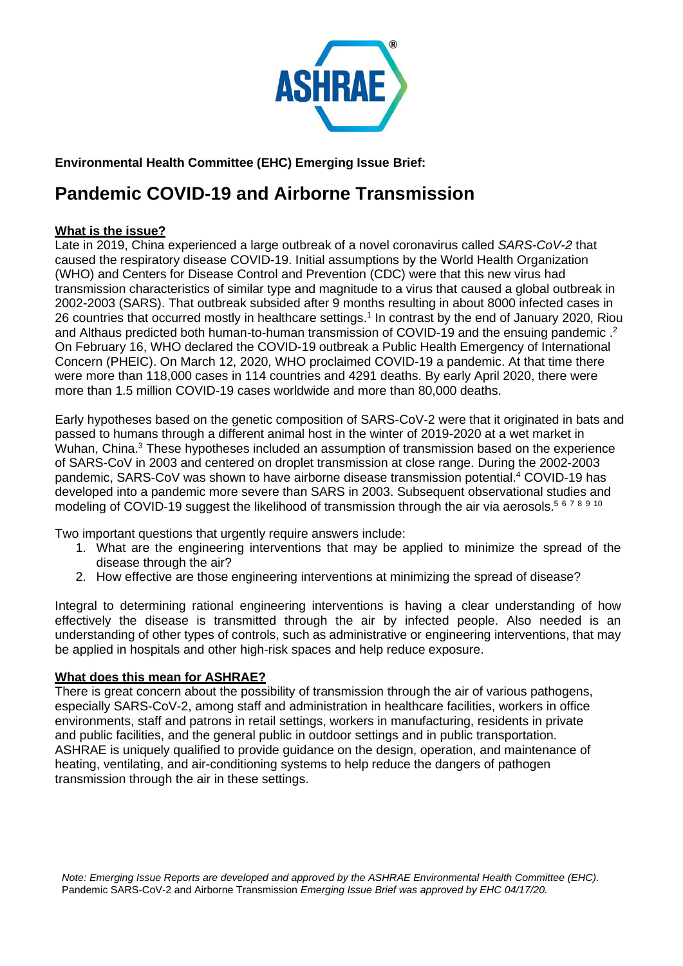

# **Environmental Health Committee (EHC) Emerging Issue Brief:**

# **Pandemic COVID-19 and Airborne Transmission**

## **What is the issue?**

Late in 2019, China experienced a large outbreak of a novel coronavirus called *SARS-CoV-2* that caused the respiratory disease COVID-19. Initial assumptions by the World Health Organization (WHO) and Centers for Disease Control and Prevention (CDC) were that this new virus had transmission characteristics of similar type and magnitude to a virus that caused a global outbreak in 2002-2003 (SARS). That outbreak subsided after 9 months resulting in about 8000 infected cases in 26 countries that occurred mostly in healthcare settings.<sup>1</sup> In contrast by the end of January 2020, Riou and Althaus predicted both human-to-human transmission of COVID-19 and the ensuing pandemic.<sup>2</sup> On February 16, WHO declared the COVID-19 outbreak a Public Health Emergency of International Concern (PHEIC). On March 12, 2020, WHO proclaimed COVID-19 a pandemic. At that time there were more than 118,000 cases in 114 countries and 4291 deaths. By early April 2020, there were more than 1.5 million COVID-19 cases worldwide and more than 80,000 deaths.

Early hypotheses based on the genetic composition of SARS-CoV-2 were that it originated in bats and passed to humans through a different animal host in the winter of 2019-2020 at a wet market in Wuhan, China.<sup>3</sup> These hypotheses included an assumption of transmission based on the experience of SARS-CoV in 2003 and centered on droplet transmission at close range. During the 2002-2003 pandemic, SARS-CoV was shown to have airborne disease transmission potential. <sup>4</sup> COVID-19 has developed into a pandemic more severe than SARS in 2003. Subsequent observational studies and modeling of COVID-19 suggest the likelihood of transmission through the air via aerosols.<sup>5678910</sup>

Two important questions that urgently require answers include:

- 1. What are the engineering interventions that may be applied to minimize the spread of the disease through the air?
- 2. How effective are those engineering interventions at minimizing the spread of disease?

Integral to determining rational engineering interventions is having a clear understanding of how effectively the disease is transmitted through the air by infected people. Also needed is an understanding of other types of controls, such as administrative or engineering interventions, that may be applied in hospitals and other high-risk spaces and help reduce exposure.

#### **What does this mean for ASHRAE?**

There is great concern about the possibility of transmission through the air of various pathogens, especially SARS-CoV-2, among staff and administration in healthcare facilities, workers in office environments, staff and patrons in retail settings, workers in manufacturing, residents in private and public facilities, and the general public in outdoor settings and in public transportation. ASHRAE is uniquely qualified to provide guidance on the design, operation, and maintenance of heating, ventilating, and air-conditioning systems to help reduce the dangers of pathogen transmission through the air in these settings.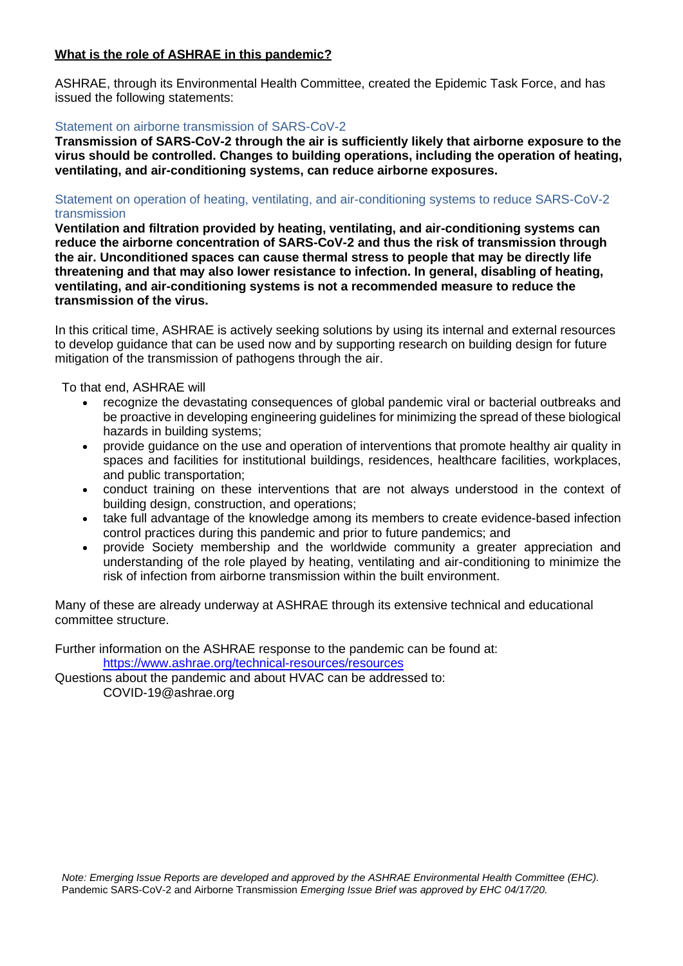### **What is the role of ASHRAE in this pandemic?**

ASHRAE, through its Environmental Health Committee, created the Epidemic Task Force, and has issued the following statements:

#### Statement on airborne transmission of SARS-CoV-2

**Transmission of SARS-CoV-2 through the air is sufficiently likely that airborne exposure to the virus should be controlled. Changes to building operations, including the operation of heating, ventilating, and air-conditioning systems, can reduce airborne exposures.**

#### Statement on operation of heating, ventilating, and air-conditioning systems to reduce SARS-CoV-2 transmission

**Ventilation and filtration provided by heating, ventilating, and air-conditioning systems can reduce the airborne concentration of SARS-CoV-2 and thus the risk of transmission through the air. Unconditioned spaces can cause thermal stress to people that may be directly life threatening and that may also lower resistance to infection. In general, disabling of heating, ventilating, and air-conditioning systems is not a recommended measure to reduce the transmission of the virus.**

In this critical time, ASHRAE is actively seeking solutions by using its internal and external resources to develop guidance that can be used now and by supporting research on building design for future mitigation of the transmission of pathogens through the air.

To that end, ASHRAE will

- recognize the devastating consequences of global pandemic viral or bacterial outbreaks and be proactive in developing engineering guidelines for minimizing the spread of these biological hazards in building systems;
- provide guidance on the use and operation of interventions that promote healthy air quality in spaces and facilities for institutional buildings, residences, healthcare facilities, workplaces, and public transportation;
- conduct training on these interventions that are not always understood in the context of building design, construction, and operations;
- take full advantage of the knowledge among its members to create evidence-based infection control practices during this pandemic and prior to future pandemics; and
- provide Society membership and the worldwide community a greater appreciation and understanding of the role played by heating, ventilating and air-conditioning to minimize the risk of infection from airborne transmission within the built environment.

Many of these are already underway at ASHRAE through its extensive technical and educational committee structure.

Further information on the ASHRAE response to the pandemic can be found at: <https://www.ashrae.org/technical-resources/resources>

Questions about the pandemic and about HVAC can be addressed to: COVID-19@ashrae.org